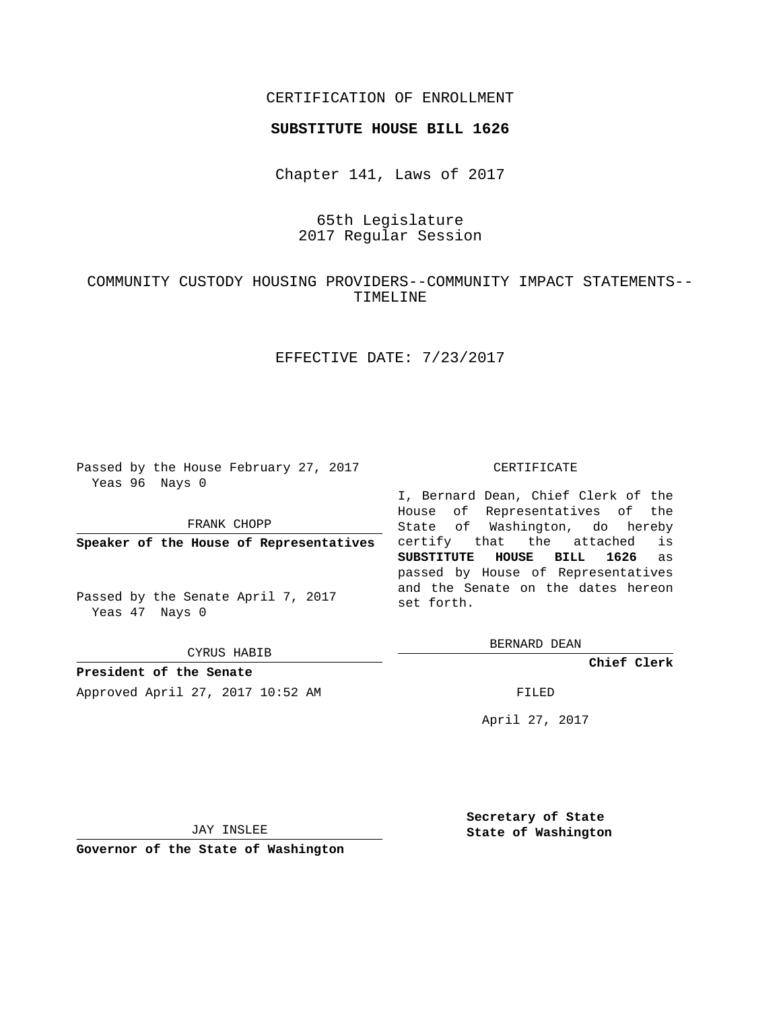## CERTIFICATION OF ENROLLMENT

#### **SUBSTITUTE HOUSE BILL 1626**

Chapter 141, Laws of 2017

# 65th Legislature 2017 Regular Session

# COMMUNITY CUSTODY HOUSING PROVIDERS--COMMUNITY IMPACT STATEMENTS-- TIMELINE

## EFFECTIVE DATE: 7/23/2017

Passed by the House February 27, 2017 Yeas 96 Nays 0

FRANK CHOPP

**Speaker of the House of Representatives**

Passed by the Senate April 7, 2017 Yeas 47 Nays 0

CYRUS HABIB

**President of the Senate** Approved April 27, 2017 10:52 AM FILED

#### CERTIFICATE

I, Bernard Dean, Chief Clerk of the House of Representatives of the State of Washington, do hereby certify that the attached is **SUBSTITUTE HOUSE BILL 1626** as passed by House of Representatives and the Senate on the dates hereon set forth.

BERNARD DEAN

**Chief Clerk**

April 27, 2017

JAY INSLEE

**Governor of the State of Washington**

**Secretary of State State of Washington**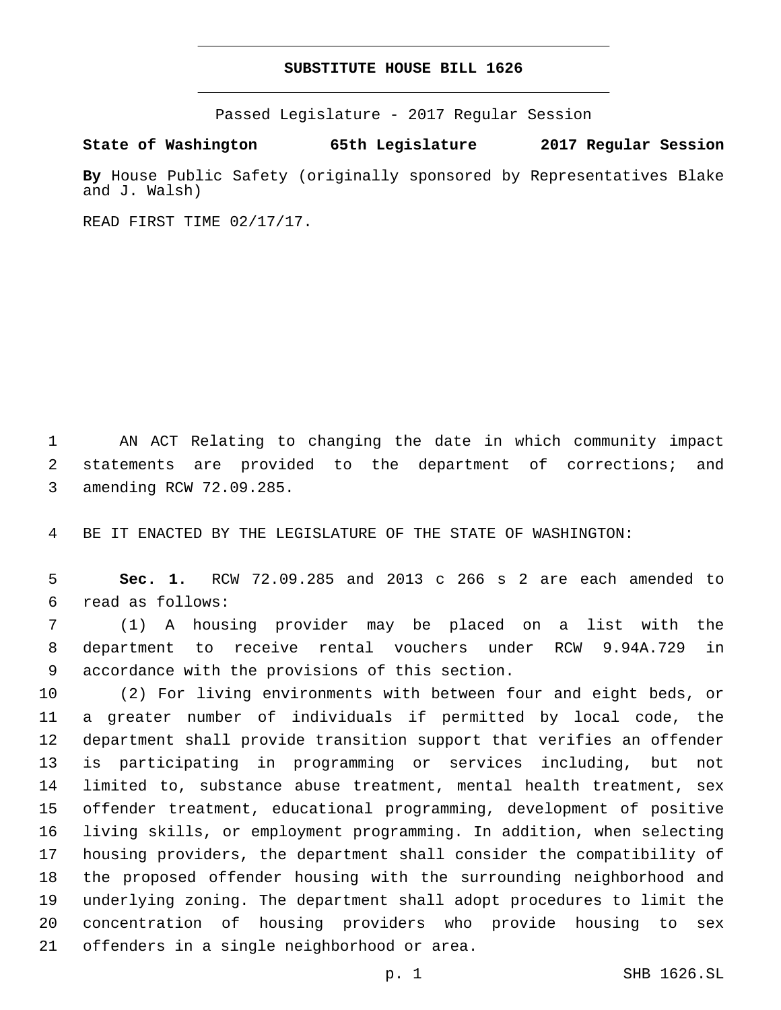## **SUBSTITUTE HOUSE BILL 1626**

Passed Legislature - 2017 Regular Session

**State of Washington 65th Legislature 2017 Regular Session**

**By** House Public Safety (originally sponsored by Representatives Blake and J. Walsh)

READ FIRST TIME 02/17/17.

 AN ACT Relating to changing the date in which community impact statements are provided to the department of corrections; and 3 amending RCW 72.09.285.

BE IT ENACTED BY THE LEGISLATURE OF THE STATE OF WASHINGTON:

 **Sec. 1.** RCW 72.09.285 and 2013 c 266 s 2 are each amended to read as follows:6

 (1) A housing provider may be placed on a list with the department to receive rental vouchers under RCW 9.94A.729 in 9 accordance with the provisions of this section.

 (2) For living environments with between four and eight beds, or a greater number of individuals if permitted by local code, the department shall provide transition support that verifies an offender is participating in programming or services including, but not limited to, substance abuse treatment, mental health treatment, sex offender treatment, educational programming, development of positive living skills, or employment programming. In addition, when selecting housing providers, the department shall consider the compatibility of the proposed offender housing with the surrounding neighborhood and underlying zoning. The department shall adopt procedures to limit the concentration of housing providers who provide housing to sex 21 offenders in a single neighborhood or area.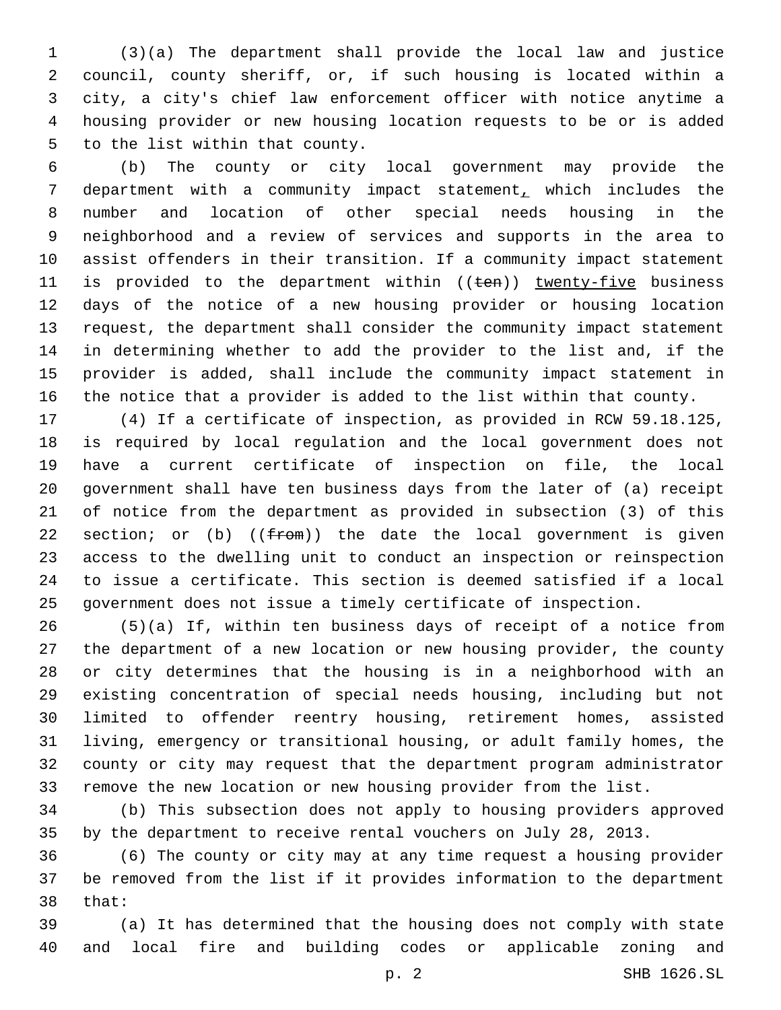(3)(a) The department shall provide the local law and justice council, county sheriff, or, if such housing is located within a city, a city's chief law enforcement officer with notice anytime a housing provider or new housing location requests to be or is added 5 to the list within that county.

 (b) The county or city local government may provide the department with a community impact statement, which includes the number and location of other special needs housing in the neighborhood and a review of services and supports in the area to assist offenders in their transition. If a community impact statement 11 is provided to the department within ((ten)) twenty-five business days of the notice of a new housing provider or housing location request, the department shall consider the community impact statement in determining whether to add the provider to the list and, if the provider is added, shall include the community impact statement in the notice that a provider is added to the list within that county.

 (4) If a certificate of inspection, as provided in RCW 59.18.125, is required by local regulation and the local government does not have a current certificate of inspection on file, the local government shall have ten business days from the later of (a) receipt of notice from the department as provided in subsection (3) of this 22 section; or (b)  $((f_{\text{F}}\Theta\mathfrak{m}))$  the date the local government is given access to the dwelling unit to conduct an inspection or reinspection to issue a certificate. This section is deemed satisfied if a local government does not issue a timely certificate of inspection.

 (5)(a) If, within ten business days of receipt of a notice from the department of a new location or new housing provider, the county or city determines that the housing is in a neighborhood with an existing concentration of special needs housing, including but not limited to offender reentry housing, retirement homes, assisted living, emergency or transitional housing, or adult family homes, the county or city may request that the department program administrator remove the new location or new housing provider from the list.

 (b) This subsection does not apply to housing providers approved by the department to receive rental vouchers on July 28, 2013.

 (6) The county or city may at any time request a housing provider be removed from the list if it provides information to the department 38 that:

 (a) It has determined that the housing does not comply with state and local fire and building codes or applicable zoning and